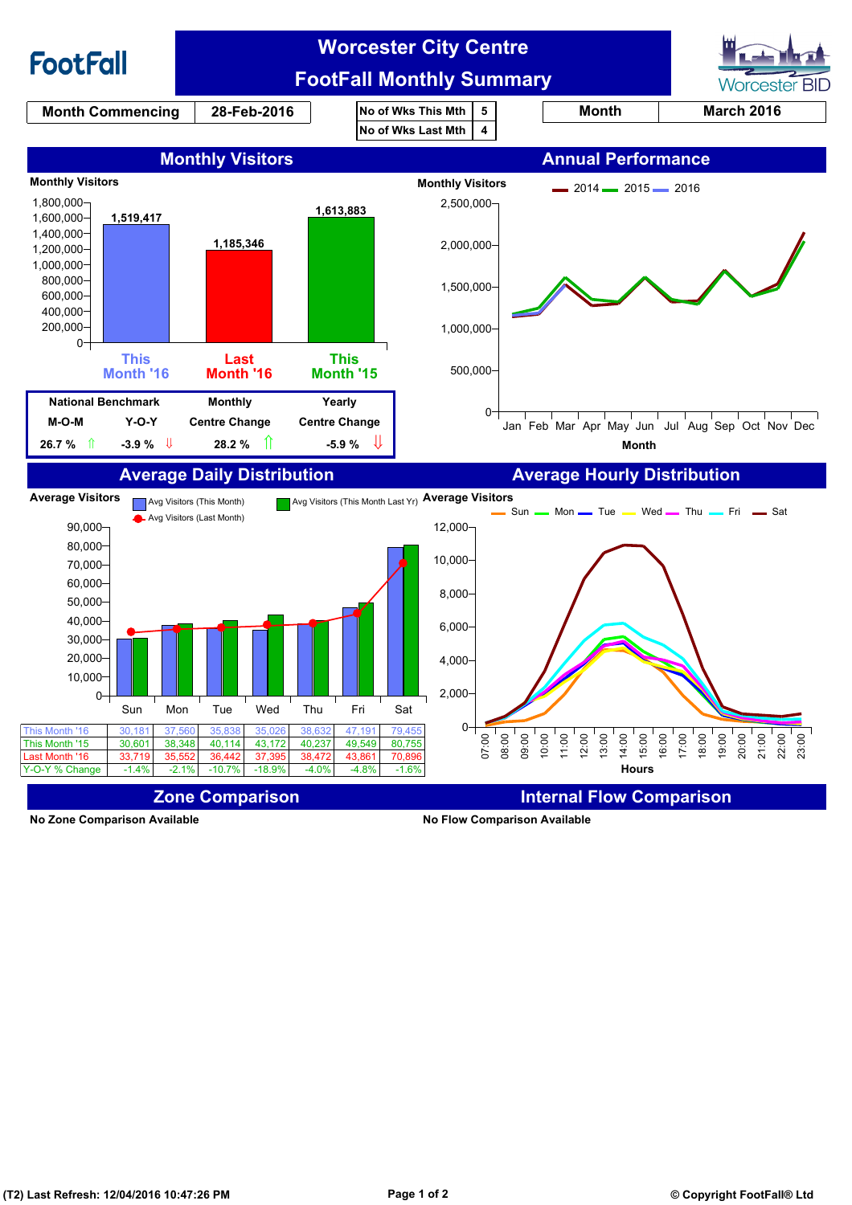

**No Zone Comparison Available No Flow Comparison Available**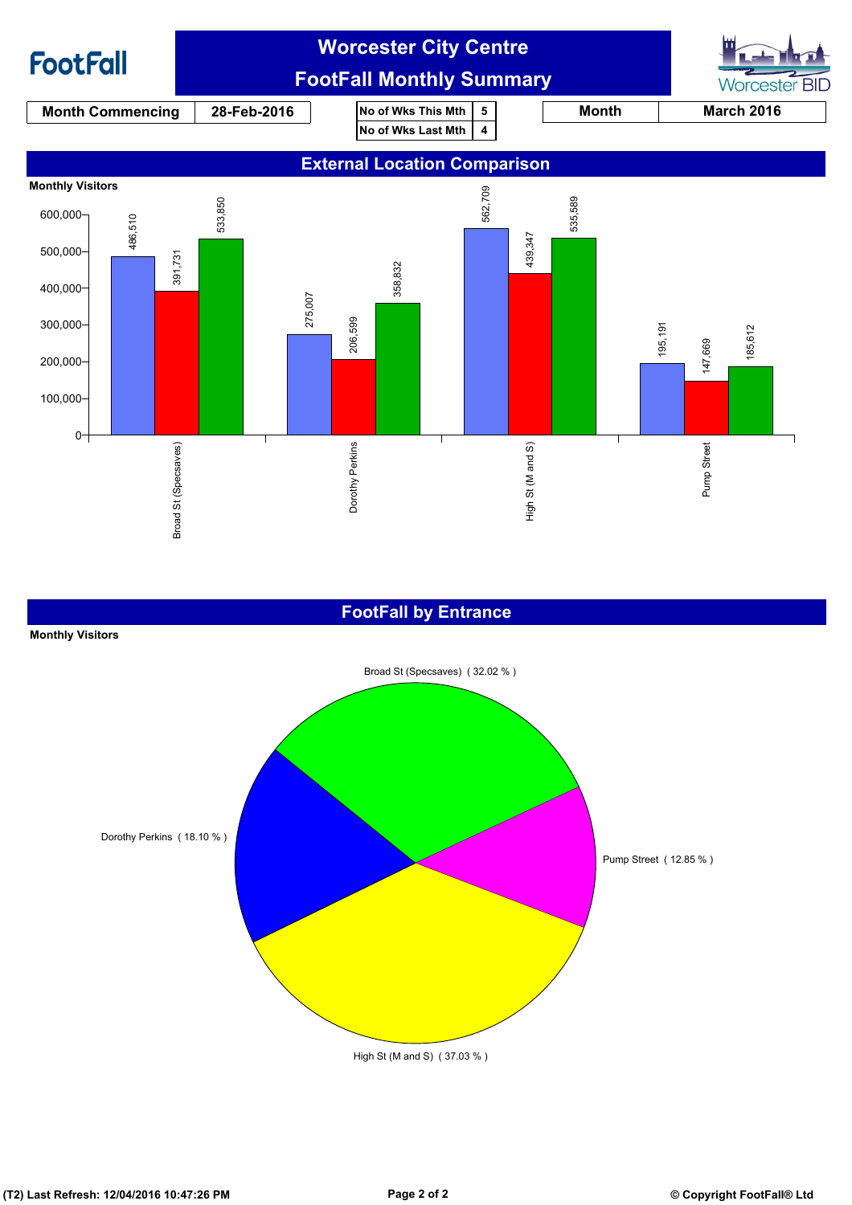

### **FootFall by Entrance**

#### **Monthly Visitors**